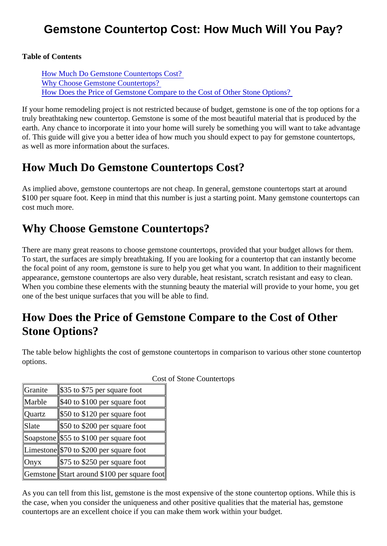## Gemstone Countertop Cost: How Much Will You Pay?

Table of Contents

How Much Do Gemstone Countertops Cost? Why Choose Gemstone Countertops? How Does the Price of Gemstone Compare to the Cost of Other Stone Options?

If your home remodeling project is not restricted because of budget, gemstone is one of the top options for truly breathtaking new countertop. Gemstone is some of the most beautiful material that is produced by the earth. Any chance to incorporate it into your home will surely be something you will want to take advantage of. This guide will give you a better idea of how much you should expect to pay for gemstone countertops, as well as more information about the surfaces.

## How Much Do Gemstone Countertops Cost?

As implied above, gemstone countertops are not cheap. In general, gemstone countertops start at around \$100 per square foot. Keep in mind that this number is just a starting point. Many gemstone countertops c cost much more.

## Why Choose Gemstone Countertops?

There are many great reasons to choose gemstone countertops, provided that your budget allows for then. To start, the surfaces are simply breathtaking. If you are looking for a countertop that can instantly become the focal point of any room, gemstone is sure to help you get what you want. In addition to their magnificent appearance, gemstone countertops are also very durable, heat resistant, scratch resistant and easy to cle When you combine these elements with the stunning beauty the material will provide to your home, you got one of the best unique surfaces that you will be able to find.

## How Does the Price of Gemstone Compare to the Cost of Other Stone Options?

The table below highlights the cost of gemstone countertops in comparison to various other stone counter options.

| <b>Granite</b> | \$35 to \$75 per square foot               |  |
|----------------|--------------------------------------------|--|
| Marble         | \$40 to \$100 per square foot              |  |
| <b>Quartz</b>  | \$50 to \$120 per square foot              |  |
| Slate          | \$50 to \$200 per square foot              |  |
|                | Soapston∯55 to \$100 per square foot       |  |
|                | Limeston \$70 to \$200 per square foot     |  |
| Onyx           | \$75 to \$250 per square foot              |  |
|                | Gemston Start around \$100 per square foot |  |

Cost of Stone Countertops

As you can tell from this list, gemstone is the most expensive of the stone countertop options. While this is the case, when you consider the uniqueness and other positive qualities that the material has, gemstone countertops are an excellent choice if you can make them work within your budget.